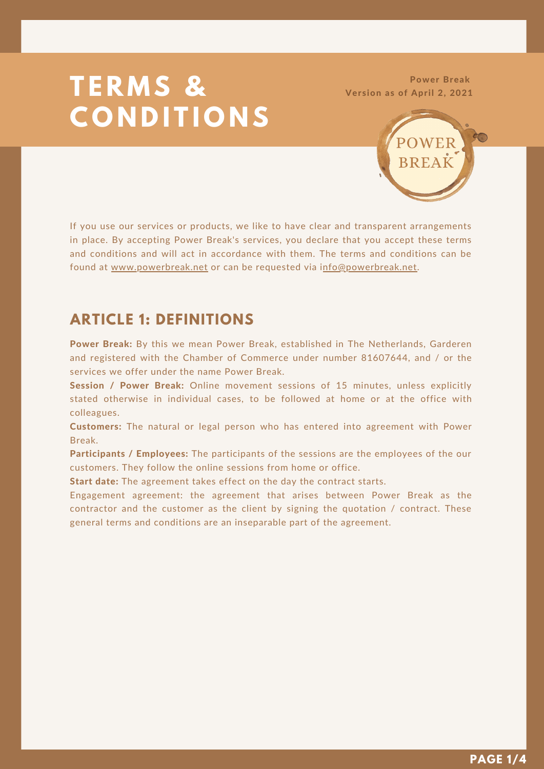# **T E R M S & C O N D I T I O N S**

Power Break Version as of April 2, 2021



If you use our services or products, we like to have clear and transparent arrangements in place. By accepting Power Break's services, you declare that you accept these terms and conditions and will act in accordance with them. The terms and conditions can be found at [www.powerbreak.net](https://www.powerbreak.net/) or can be requested via [info@powerbreak.net.](mailto:info@powerbreak.net)

#### **ARTICLE 1: DEFINITIONS**

Power Break: By this we mean Power Break, established in The Netherlands, Garderen and registered with the Chamber of Commerce under number 81607644, and / or the services we offer under the name Power Break.

Session / Power Break: Online movement sessions of 15 minutes, unless explicitly stated otherwise in individual cases, to be followed at home or at the office with colleagues.

Customers: The natural or legal person who has entered into agreement with Power Break.

Participants / Employees: The participants of the sessions are the employees of the our customers. They follow the online sessions from home or office.

Start date: The agreement takes effect on the day the contract starts.

Engagement agreement: the agreement that arises between Power Break as the contractor and the customer as the client by signing the quotation / contract. These general terms and conditions are an inseparable part of the agreement.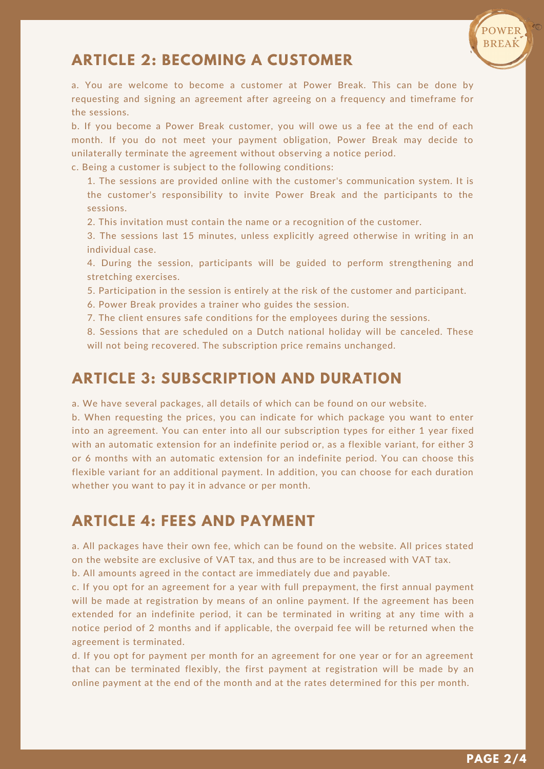

## **ARTICLE 2: BECOMING A CUSTOMER**

a. You are welcome to become a customer at Power Break. This can be done by requesting and signing an agreement after agreeing on a frequency and timeframe for the sessions.

b. If you become a Power Break customer, you will owe us a fee at the end of each month. If you do not meet your payment obligation, Power Break may decide to unilaterally terminate the agreement without observing a notice period.

c. Being a customer is subject to the following conditions:

1. The sessions are provided online with the customer's communication system. It is the customer's responsibility to invite Power Break and the participants to the sessions.

2. This invitation must contain the name or a recognition of the customer.

3. The sessions last 15 minutes, unless explicitly agreed otherwise in writing in an individual case.

4. During the session, participants will be guided to perform strengthening and stretching exercises.

5. Participation in the session is entirely at the risk of the customer and participant.

6. Power Break provides a trainer who guides the session.

7. The client ensures safe conditions for the employees during the sessions.

8. Sessions that are scheduled on a Dutch national holiday will be canceled. These will not being recovered. The subscription price remains unchanged.

#### **ARTICLE 3: SUBSCRIPTION AND DURATION**

a. We have several packages, all details of which can be found on our website.

b. When requesting the prices, you can indicate for which package you want to enter into an agreement. You can enter into all our subscription types for either 1 year fixed with an automatic extension for an indefinite period or, as a flexible variant, for either 3 or 6 months with an automatic extension for an indefinite period. You can choose this flexible variant for an additional payment. In addition, you can choose for each duration whether you want to pay it in advance or per month.

## **ARTICLE 4: FEES AND PAYMENT**

a. All packages have their own fee, which can be found on the website. All prices stated on the website are exclusive of VAT tax, and thus are to be increased with VAT tax. b. All amounts agreed in the contact are immediately due and payable.

c. If you opt for an agreement for a year with full prepayment, the first annual payment will be made at registration by means of an online payment. If the agreement has been extended for an indefinite period, it can be terminated in writing at any time with a notice period of 2 months and if applicable, the overpaid fee will be returned when the agreement is terminated.

d. If you opt for payment per month for an agreement for one year or for an agreement that can be terminated flexibly, the first payment at registration will be made by an online payment at the end of the month and at the rates determined for this per month.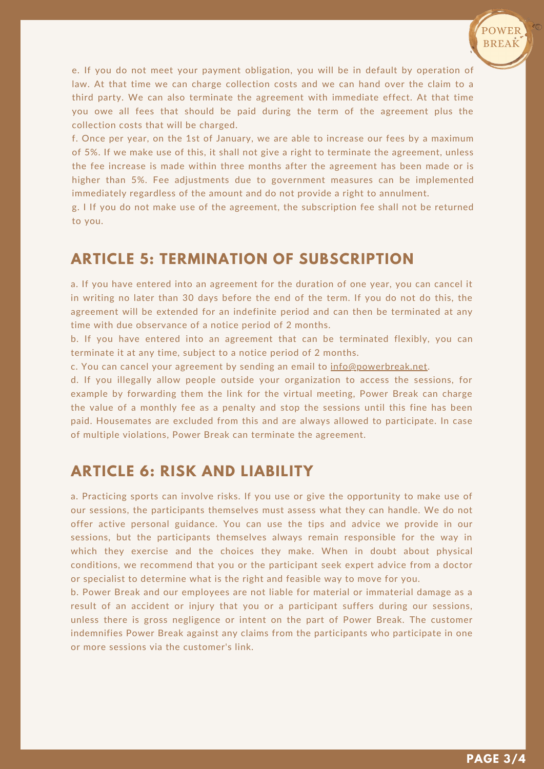

e. If you do not meet your payment obligation, you will be in default by operation of law. At that time we can charge collection costs and we can hand over the claim to a third party. We can also terminate the agreement with immediate effect. At that time you owe all fees that should be paid during the term of the agreement plus the collection costs that will be charged.

f. Once per year, on the 1st of January, we are able to increase our fees by a maximum of 5%. If we make use of this, it shall not give a right to terminate the agreement, unless the fee increase is made within three months after the agreement has been made or is higher than 5%. Fee adjustments due to government measures can be implemented immediately regardless of the amount and do not provide a right to annulment.

g. I If you do not make use of the agreement, the subscription fee shall not be returned to you.

## **ARTICLE 5: TERMINATION OF SUBSCRIPTION**

a. If you have entered into an agreement for the duration of one year, you can cancel it in writing no later than 30 days before the end of the term. If you do not do this, the agreement will be extended for an indefinite period and can then be terminated at any time with due observance of a notice period of 2 months.

b. If you have entered into an agreement that can be terminated flexibly, you can terminate it at any time, subject to a notice period of 2 months.

c. You can cancel your agreement by sending an email to [info@powerbreak.net.](mailto:info@powerbreak.net)

d. If you illegally allow people outside your organization to access the sessions, for example by forwarding them the link for the virtual meeting, Power Break can charge the value of a monthly fee as a penalty and stop the sessions until this fine has been paid. Housemates are excluded from this and are always allowed to participate. In case of multiple violations, Power Break can terminate the agreement.

#### **ARTICLE 6: RISK AND LIABILITY**

a. Practicing sports can involve risks. If you use or give the opportunity to make use of our sessions, the participants themselves must assess what they can handle. We do not offer active personal guidance. You can use the tips and advice we provide in our sessions, but the participants themselves always remain responsible for the way in which they exercise and the choices they make. When in doubt about physical conditions, we recommend that you or the participant seek expert advice from a doctor or specialist to determine what is the right and feasible way to move for you.

b. Power Break and our employees are not liable for material or immaterial damage as a result of an accident or injury that you or a participant suffers during our sessions, unless there is gross negligence or intent on the part of Power Break. The customer indemnifies Power Break against any claims from the participants who participate in one or more sessions via the customer's link.